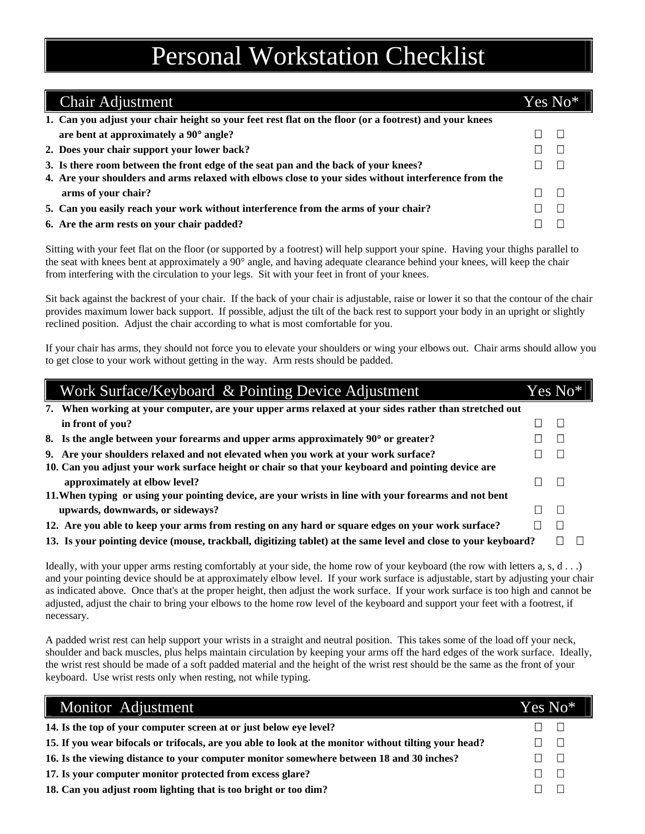## Personal Workstation Checklist

| <b>Chair Adjustment</b>                                                                                | Yes No* |  |
|--------------------------------------------------------------------------------------------------------|---------|--|
| 1. Can you adjust your chair height so your feet rest flat on the floor (or a footrest) and your knees |         |  |
| are bent at approximately a 90° angle?                                                                 |         |  |
| 2. Does your chair support your lower back?                                                            |         |  |
| 3. Is there room between the front edge of the seat pan and the back of your knees?                    |         |  |
| 4. Are your shoulders and arms relaxed with elbows close to your sides without interference from the   |         |  |
| arms of your chair?                                                                                    |         |  |
| 5. Can you easily reach your work without interference from the arms of your chair?                    |         |  |
| 6. Are the arm rests on your chair padded?                                                             |         |  |

Sitting with your feet flat on the floor (or supported by a footrest) will help support your spine. Having your thighs parallel to the seat with knees bent at approximately a 90° angle, and having adequate clearance behind your knees, will keep the chair from interfering with the circulation to your legs. Sit with your feet in front of your knees.

Sit back against the backrest of your chair. If the back of your chair is adjustable, raise or lower it so that the contour of the chair provides maximum lower back support. If possible, adjust the tilt of the back rest to support your body in an upright or slightly reclined position. Adjust the chair according to what is most comfortable for you.

If your chair has arms, they should not force you to elevate your shoulders or wing your elbows out. Chair arms should allow you to get close to your work without getting in the way. Arm rests should be padded.

| Work Surface/Keyboard & Pointing Device Adjustment                                                              |  | Yes No*l |  |
|-----------------------------------------------------------------------------------------------------------------|--|----------|--|
| 7. When working at your computer, are your upper arms relaxed at your sides rather than stretched out           |  |          |  |
| in front of you?                                                                                                |  | П        |  |
| 8. Is the angle between your forearms and upper arms approximately 90° or greater?                              |  | П        |  |
| 9. Are your shoulders relaxed and not elevated when you work at your work surface?                              |  | $\Box$   |  |
| 10. Can you adjust your work surface height or chair so that your keyboard and pointing device are              |  |          |  |
| approximately at elbow level?                                                                                   |  | $\Box$   |  |
| 11. When typing or using your pointing device, are your wrists in line with your forearms and not bent          |  |          |  |
| upwards, downwards, or sideways?                                                                                |  | П        |  |
| 12. Are you able to keep your arms from resting on any hard or square edges on your work surface?               |  |          |  |
| 13. Is your pointing device (mouse, trackball, digitizing tablet) at the same level and close to your keyboard? |  |          |  |

Ideally, with your upper arms resting comfortably at your side, the home row of your keyboard (the row with letters a, s, d . . .) and your pointing device should be at approximately elbow level. If your work surface is adjustable, start by adjusting your chair as indicated above. Once that's at the proper height, then adjust the work surface. If your work surface is too high and cannot be adjusted, adjust the chair to bring your elbows to the home row level of the keyboard and support your feet with a footrest, if necessary.

A padded wrist rest can help support your wrists in a straight and neutral position. This takes some of the load off your neck, shoulder and back muscles, plus helps maintain circulation by keeping your arms off the hard edges of the work surface. Ideally, the wrist rest should be made of a soft padded material and the height of the wrist rest should be the same as the front of your keyboard. Use wrist rests only when resting, not while typing.

| Monitor Adjustment                                                                                    | Yes No* |        |
|-------------------------------------------------------------------------------------------------------|---------|--------|
| 14. Is the top of your computer screen at or just below eye level?                                    |         |        |
| 15. If you wear bifocals or trifocals, are you able to look at the monitor without tilting your head? |         | $\Box$ |
| 16. Is the viewing distance to your computer monitor somewhere between 18 and 30 inches?              |         | $\Box$ |
| 17. Is your computer monitor protected from excess glare?                                             |         | ा      |
| 18. Can you adjust room lighting that is too bright or too dim?                                       |         |        |